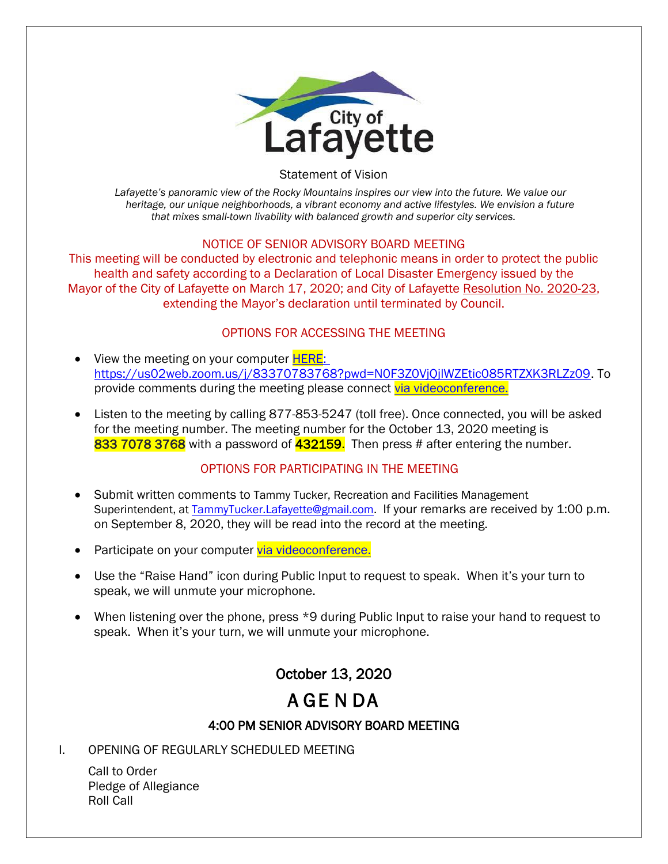

Statement of Vision

*Lafayette's panoramic view of the Rocky Mountains inspires our view into the future. We value our heritage, our unique neighborhoods, a vibrant economy and active lifestyles. We envision a future that mixes small-town livability with balanced growth and superior city services.*

### NOTICE OF SENIOR ADVISORY BOARD MEETING

This meeting will be conducted by electronic and telephonic means in order to protect the public health and safety according to a Declaration of Local Disaster Emergency issued by the Mayor of the City of Lafayette on March 17, 2020; and City of Lafayette Resolution No. 2020-23, extending the Mayor's declaration until terminated by Council.

### OPTIONS FOR ACCESSING THE MEETING

- View the meeting on your computer **HERE**: https://us02web.zoom.us/j/83370783768?pwd=N0F3Z0VjQjlWZEtic085RTZXK3RLZz09. To provide comments during the meeting please connect [via videoconference.](https://us02web.zoom.us/j/83370783768?pwd=N0F3Z0VjQjlWZEtic085RTZXK3RLZz09)
- Listen to the meeting by calling 877-853-5247 (toll free). Once connected, you will be asked for the meeting number. The meeting number for the October 13, 2020 meeting is 833 7078 3768 with a password of 432159. Then press # after entering the number.

### OPTIONS FOR PARTICIPATING IN THE MEETING

- Submit written comments to Tammy Tucker, Recreation and Facilities Management Superintendent, at [TammyTucker.Lafayette@gmail.com.](mailto:TammyTucker.Lafayette@gmail.com) If your remarks are received by 1:00 p.m. on September 8, 2020, they will be read into the record at the meeting.
- Participate on your computer [via videoconference.](https://us02web.zoom.us/j/83370783768?pwd=N0F3Z0VjQjlWZEtic085RTZXK3RLZz09)
- Use the "Raise Hand" icon during Public Input to request to speak. When it's your turn to speak, we will unmute your microphone.
- When listening over the phone, press \*9 during Public Input to raise your hand to request to speak. When it's your turn, we will unmute your microphone.

## October 13, 2020

# A GE N DA

### 4:00 PM SENIOR ADVISORY BOARD MEETING

I. OPENING OF REGULARLY SCHEDULED MEETING

Call to Order Pledge of Allegiance Roll Call